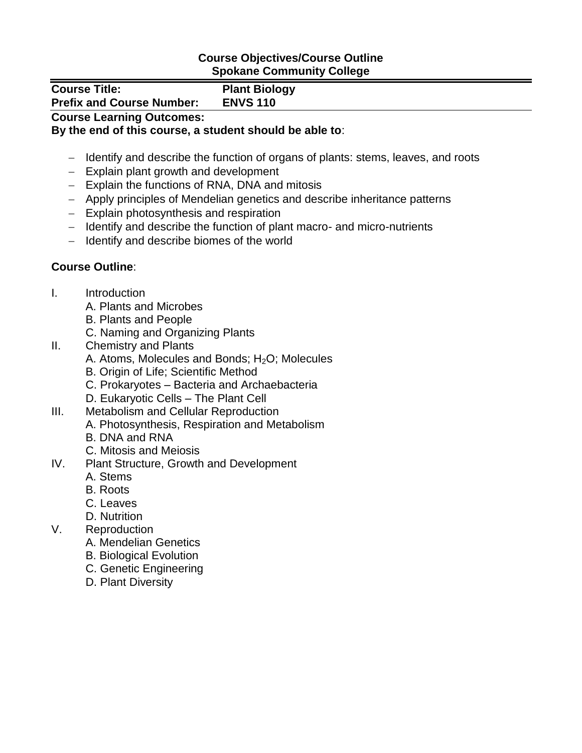## **Course Objectives/Course Outline Spokane Community College**

| <b>Course Title:</b><br><b>Prefix and Course Number:</b> | <b>Plant Biology</b><br><b>ENVS 110</b> |  |
|----------------------------------------------------------|-----------------------------------------|--|
|                                                          |                                         |  |
| <b>Course Learning Outcomes:</b>                         |                                         |  |

## **By the end of this course, a student should be able to**:

- Identify and describe the function of organs of plants: stems, leaves, and roots
- Explain plant growth and development
- Explain the functions of RNA, DNA and mitosis
- Apply principles of Mendelian genetics and describe inheritance patterns
- Explain photosynthesis and respiration
- Identify and describe the function of plant macro- and micro-nutrients
- $-$  Identify and describe biomes of the world

## **Course Outline**:

- I. Introduction
	- A. Plants and Microbes
	- B. Plants and People
	- C. Naming and Organizing Plants
- II. Chemistry and Plants
	- A. Atoms, Molecules and Bonds;  $H_2O$ ; Molecules
	- B. Origin of Life; Scientific Method
	- C. Prokaryotes Bacteria and Archaebacteria
	- D. Eukaryotic Cells The Plant Cell
- III. Metabolism and Cellular Reproduction
	- A. Photosynthesis, Respiration and Metabolism
	- B. DNA and RNA
	- C. Mitosis and Meiosis
- IV. Plant Structure, Growth and Development
	- A. Stems
	- B. Roots
	- C. Leaves
	- D. Nutrition
- V. Reproduction
	- A. Mendelian Genetics
	- B. Biological Evolution
	- C. Genetic Engineering
	- D. Plant Diversity